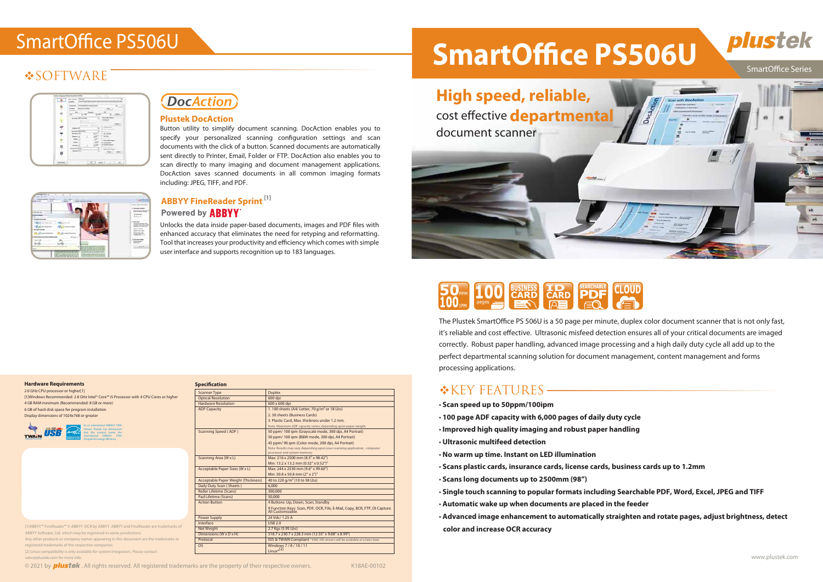### **SOFTWARE**

| m<br>u                            |
|-----------------------------------|
| ⊷ :<br>m                          |
| <b></b>                           |
| 3                                 |
| ÷                                 |
|                                   |
|                                   |
| ۰<br>$(100 - 1)$ . $000 - 1$<br>٠ |
|                                   |



# **BUSINESS ID SEARCHABLE**<br>CARD CARD PDF

The Plustek SmartOffice PS 506U is a 50 page per minute, duplex color document scanner that is not only fast, it's reliable and cost effective. Ultrasonic misfeed detection ensures all of your critical documents are imaged correctly. Robust paper handling, advanced image processing and a high daily duty cycle all add up to the perfect departmental scanning solution for document management, content management and forms processing applications.

#### **\*KEY FEATURES-**

- • **Scan speed up to 50ppm/100ipm**
- • **100 page ADF capacity with 6,000 pages of daily duty cycle**
- • **Improved high quality imaging and robust paper handling**
- • **Ultrasonic multifeed detection**
- • **No warm up time. Instant on LED illumination**
- • **Scans plastic cards, insurance cards, license cards, business cards up to 1.2mm**
- • **Scans long documents up to 2500mm (98")**
- • **Single touch scanning to popular formats including Searchable PDF, Word, Excel, JPEG and TIFF**
- • **Automatic wake up when documents are placed in the feeder**
- • **Advanced image enhancement to automatically straighten and rotate pages, adjust brightness, detect color and increase OCR accuracy**

|                                                                                           | -----<br>the first process and           |
|-------------------------------------------------------------------------------------------|------------------------------------------|
|                                                                                           | ---<br><b>Room can be a construction</b> |
|                                                                                           | of newtons:                              |
|                                                                                           | <b>E</b> Marine                          |
|                                                                                           |                                          |
|                                                                                           | -                                        |
|                                                                                           |                                          |
|                                                                                           |                                          |
|                                                                                           |                                          |
|                                                                                           |                                          |
|                                                                                           |                                          |
|                                                                                           |                                          |
| <b>MANY COLLECTION</b><br>case and company to contact part<br><br>the author of authority |                                          |

#### **Specification**

Scanner Type Duple

**Hardware Requirements** 

| 2.0 GHz CPU processor or higher[1]                                                   |  |
|--------------------------------------------------------------------------------------|--|
| [1]Windows Recommended: 2.8 GHz Intel® Core™ i5 Processor with 4 CPU Cores or higher |  |
| 4 GB RAM minimum (Recommended: 8 GB or more)                                         |  |
| 6 GB of hard-disk space for program installation                                     |  |
| Display dimensions of 1024x768 or greater                                            |  |
|                                                                                      |  |



Unlocks the data inside paper-based documents, images and PDF files with enhanced accuracy that eliminates the need for retyping and reformatting. Tool that increases your productivity and efficiency which comes with simple user interface and supports recognition up to 183 languages.

## SmartOffice PS506U **SmartOffice PS506U** plustek **SmartOffice Series**

#### **ABBYY FineReader Sprint** [1] **Powered by ABBYY**

| <b>Optical Resolution</b>                  | 600 dpi                                                                                                   |
|--------------------------------------------|-----------------------------------------------------------------------------------------------------------|
| <b>Hardware Resolution</b>                 | 600 x 600 dpi                                                                                             |
| <b>ADF Capacity</b>                        | 1.100 sheets (A4/ Letter, 70 g/m <sup>2</sup> or 18 Lbs)                                                  |
|                                            | 2.30 sheets (Business Cards)                                                                              |
|                                            | 3. Plastic Card. Max. thickness under 1.2 mm.                                                             |
|                                            | Note: Maximum ADF capacity varies, depending upon paper weight.                                           |
| Scanning Speed (ADF)                       | 50 ppm/ 100 ipm (Grayscale mode, 300 dpi, A4 Portrait)                                                    |
|                                            | 50 ppm/ 100 ipm (B&W mode, 300 dpi, A4 Portrait)                                                          |
|                                            | 45 ppm/ 90 ipm (Color mode, 200 dpi, A4 Portrait)                                                         |
|                                            | Note: Results may vary depending upon your scanning application, computer<br>processor and system memory. |
| Scanning Area (W x L)                      | Max: 216 x 2500 mm (8.5" x 98.42")                                                                        |
|                                            | Min: 13.2 x 13.2 mm (0.52" x 0.52")"                                                                      |
| Acceptable Paper Sizes (W x L)             | Max: 244 x 2530 mm (9.6" x 99.60")                                                                        |
|                                            | Min: 50.8 x 50.8 mm (2" x 2")"                                                                            |
| <b>Acceptable Paper Weight (Thickness)</b> | 40 to 220 g/m <sup>2</sup> (10 to 58 Lbs)                                                                 |
| Daily Duty Scan (Sheets)                   | 6.000                                                                                                     |
| <b>Roller Lifetime (Scans)</b>             | 300.000                                                                                                   |
| Pad Lifetime (Scans)                       | 50,000                                                                                                    |
| <b>Action Button</b>                       | 4 Buttons: Up, Down, Scan, Standby                                                                        |
|                                            | 9 Function Keys: Scan, PDF, OCR, File, E-Mail, Copy, BCR, FTP, DI Capture.<br>All Customizable.           |
| Power Supply                               | 24 Vdc/ 1.25 A                                                                                            |
| Interface                                  | USB 2.0                                                                                                   |
| <b>Net Weight</b>                          | 2.7 Kgs (5.95 Lbs)                                                                                        |
| Dimensions (W x D x H)                     | 318.7 x 230.7 x 228.3 mm (12.55" x 9.08" x 8.99")                                                         |
| Protocol                                   | ISIS & TWAIN Compliant * EMC ISIS drivers will be available at a later date.                              |
| O <sub>S</sub>                             | Windows 7/8/10/11                                                                                         |
|                                            | $Linux*[2]$                                                                                               |

#### **Plustek DocAction**

Button utility to simplify document scanning. DocAction enables you to specify your personalized scanning configuration settings and scan documents with the click of a button. Scanned documents are automatically sent directly to Printer, Email, Folder or FTP. DocAction also enables you to scan directly to many imaging and document management applications. DocAction saves scanned documents in all common imaging formats including: JPEG, TIFF, and PDF.

| As an international ENERGY STAR<br>Partner, Plustek has determined<br>energy<br>that this product meets the<br>international ENERGY STAR<br><b>ENERGYSTAR</b><br>Program for energy efficiency. |
|-------------------------------------------------------------------------------------------------------------------------------------------------------------------------------------------------|
|-------------------------------------------------------------------------------------------------------------------------------------------------------------------------------------------------|

[1]ABBYY™ FineReader™ © ABBYY. OCR by ABBYY. ABBYY and FineReader are trademarks of ABBYY Software, Ltd. which may be registered in some jurisdictions. Any other products or company names appearing in this document are the trademarks or registered trademarks of the respective companies.

[2] Linux compatibility is only available for system integrators. Please contact sales@plustek.com for more info.

© 2021 by **plustek**. All rights reserved. All registered trademarks are the property of their respective owners. K18AE-00102